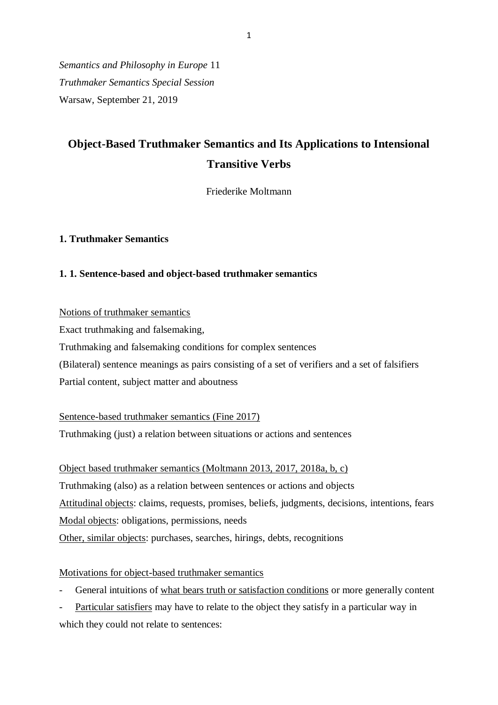*Semantics and Philosophy in Europe* 11 *Truthmaker Semantics Special Session* Warsaw, September 21, 2019

# **Object-Based Truthmaker Semantics and Its Applications to Intensional Transitive Verbs**

Friederike Moltmann

### **1. Truthmaker Semantics**

### **1. 1. Sentence-based and object-based truthmaker semantics**

Notions of truthmaker semantics

Exact truthmaking and falsemaking,

Truthmaking and falsemaking conditions for complex sentences

(Bilateral) sentence meanings as pairs consisting of a set of verifiers and a set of falsifiers

Partial content, subject matter and aboutness

Sentence-based truthmaker semantics (Fine 2017) Truthmaking (just) a relation between situations or actions and sentences

Object based truthmaker semantics (Moltmann 2013, 2017, 2018a, b, c) Truthmaking (also) as a relation between sentences or actions and objects Attitudinal objects: claims, requests, promises, beliefs, judgments, decisions, intentions, fears Modal objects: obligations, permissions, needs Other, similar objects: purchases, searches, hirings, debts, recognitions

# Motivations for object-based truthmaker semantics

General intuitions of what bears truth or satisfaction conditions or more generally content

- Particular satisfiers may have to relate to the object they satisfy in a particular way in which they could not relate to sentences: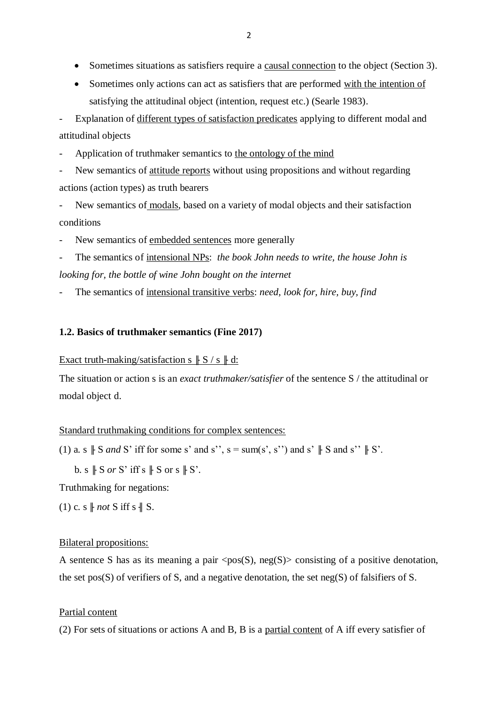- Sometimes situations as satisfiers require a causal connection to the object (Section 3).
- Sometimes only actions can act as satisfiers that are performed with the intention of satisfying the attitudinal object (intention, request etc.) (Searle 1983).

Explanation of different types of satisfaction predicates applying to different modal and attitudinal objects

- Application of truthmaker semantics to the ontology of the mind

New semantics of attitude reports without using propositions and without regarding actions (action types) as truth bearers

New semantics of modals, based on a variety of modal objects and their satisfaction conditions

New semantics of embedded sentences more generally

The semantics of intensional NPs: *the book John needs to write, the house John is looking for, the bottle of wine John bought on the internet*

The semantics of intensional transitive verbs: *need, look for, hire, buy, find* 

### **1.2. Basics of truthmaker semantics (Fine 2017)**

### Exact truth-making/satisfaction s  $\parallel S / s \parallel d$ :

The situation or action s is an *exact truthmaker/satisfier* of the sentence S / the attitudinal or modal object d.

#### Standard truthmaking conditions for complex sentences:

(1) a. s  $\parallel$  S *and* S' iff for some s' and s'', s = sum(s', s'') and s'  $\parallel$  S and s''  $\parallel$  S'.

b. s  $\parallel$  S *or* S' iff s  $\parallel$  S or s  $\parallel$  S'.

Truthmaking for negations:

(1) c. s  $\parallel$  *not* S iff s  $\parallel$  S.

#### Bilateral propositions:

A sentence S has as its meaning a pair  $\langle pos(S), neg(S) \rangle$  consisting of a positive denotation, the set pos(S) of verifiers of S, and a negative denotation, the set neg(S) of falsifiers of S.

### Partial content

(2) For sets of situations or actions A and B, B is a partial content of A iff every satisfier of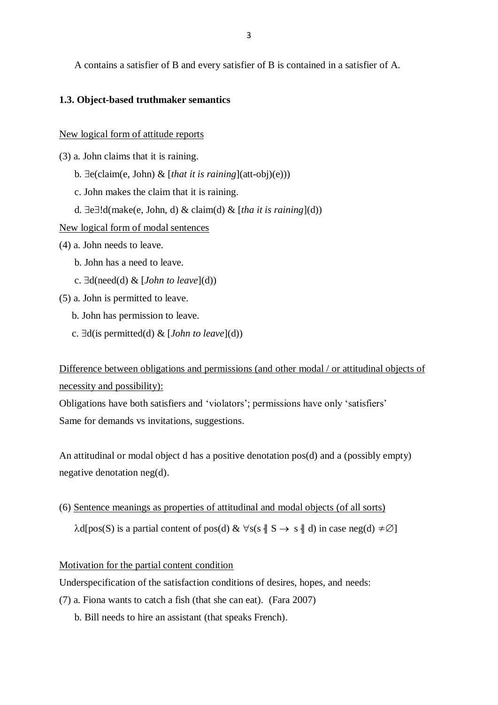A contains a satisfier of B and every satisfier of B is contained in a satisfier of A.

### **1.3. Object-based truthmaker semantics**

#### New logical form of attitude reports

- (3) a. John claims that it is raining.
	- b.  $\exists$ e(claim(e, John) & [*that it is raining*](att-obj)(e)))
	- c. John makes the claim that it is raining.
	- d.  $\exists e \exists ! d(make(e, John, d) \& claim(d) \& [tha it is raining](d))$
- New logical form of modal sentences
- (4) a. John needs to leave.
	- b. John has a need to leave.
	- c.  $\exists d(\text{need}(d) \& [John to leave](d))$
- (5) a. John is permitted to leave.
	- b. John has permission to leave.
	- c.  $\exists d$ (is permitted(d) & [*John to leave*](d))

Difference between obligations and permissions (and other modal / or attitudinal objects of necessity and possibility):

Obligations have both satisfiers and 'violators'; permissions have only 'satisfiers' Same for demands vs invitations, suggestions.

An attitudinal or modal object d has a positive denotation pos(d) and a (possibly empty) negative denotation neg(d).

(6) Sentence meanings as properties of attitudinal and modal objects (of all sorts)

 $\lambda$ d[pos(S) is a partial content of pos(d) &  $\forall s(s \mid S \rightarrow s \mid d)$  in case neg(d)  $\neq \emptyset$ ]

### Motivation for the partial content condition

Underspecification of the satisfaction conditions of desires, hopes, and needs:

- (7) a. Fiona wants to catch a fish (that she can eat). (Fara 2007)
	- b. Bill needs to hire an assistant (that speaks French).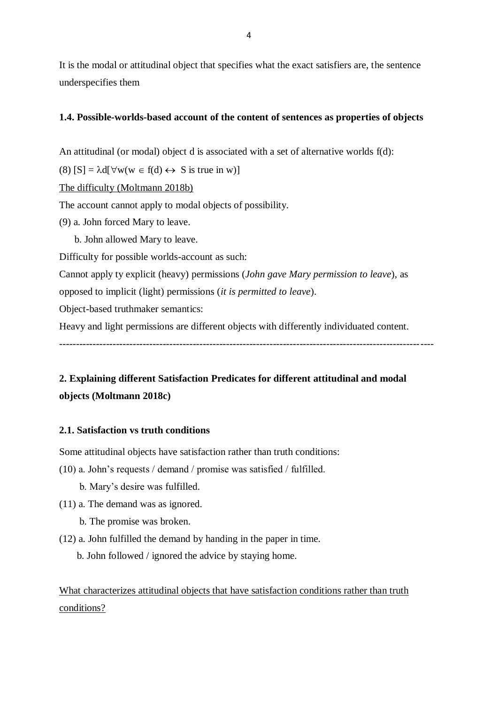It is the modal or attitudinal object that specifies what the exact satisfiers are, the sentence underspecifies them

### **1.4. Possible-worlds-based account of the content of sentences as properties of objects**

An attitudinal (or modal) object d is associated with a set of alternative worlds f(d):

(8)  $[S] = \lambda d[\forall w(w \in f(d) \leftrightarrow S \text{ is true in } w)]$ 

The difficulty (Moltmann 2018b)

The account cannot apply to modal objects of possibility.

(9) a. John forced Mary to leave.

b. John allowed Mary to leave.

Difficulty for possible worlds-account as such:

Cannot apply ty explicit (heavy) permissions (*John gave Mary permission to leave*), as

opposed to implicit (light) permissions (*it is permitted to leave*).

Object-based truthmaker semantics:

Heavy and light permissions are different objects with differently individuated content.

----------------------------------------------------------------------------------------------------------------

# **2. Explaining different Satisfaction Predicates for different attitudinal and modal objects (Moltmann 2018c)**

### **2.1. Satisfaction vs truth conditions**

Some attitudinal objects have satisfaction rather than truth conditions:

- (10) a. John's requests / demand / promise was satisfied / fulfilled.
	- b. Mary's desire was fulfilled.
- (11) a. The demand was as ignored.
	- b. The promise was broken.
- (12) a. John fulfilled the demand by handing in the paper in time.
	- b. John followed / ignored the advice by staying home.

What characterizes attitudinal objects that have satisfaction conditions rather than truth conditions?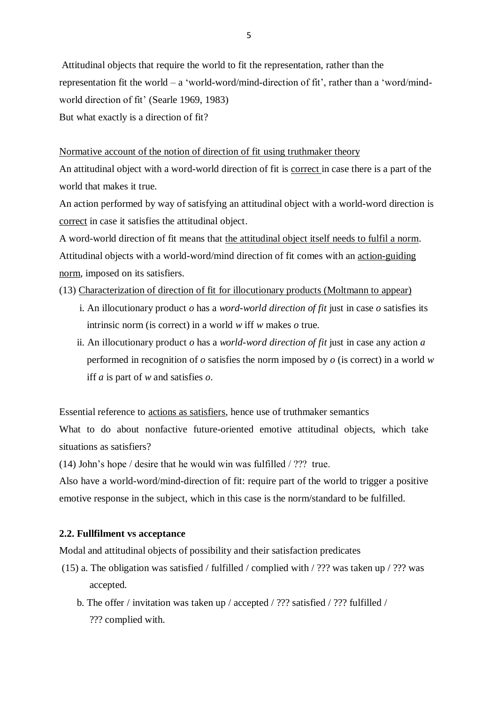Attitudinal objects that require the world to fit the representation, rather than the representation fit the world – a 'world-word/mind-direction of fit', rather than a 'word/mindworld direction of fit' (Searle 1969, 1983) But what exactly is a direction of fit?

Normative account of the notion of direction of fit using truthmaker theory An attitudinal object with a word-world direction of fit is correct in case there is a part of the world that makes it true.

An action performed by way of satisfying an attitudinal object with a world-word direction is correct in case it satisfies the attitudinal object.

A word-world direction of fit means that the attitudinal object itself needs to fulfil a norm. Attitudinal objects with a world-word/mind direction of fit comes with an action-guiding norm, imposed on its satisfiers.

(13) Characterization of direction of fit for illocutionary products (Moltmann to appear)

- i. An illocutionary product *o* has a *word-world direction of fit* just in case *o* satisfies its intrinsic norm (is correct) in a world *w* iff *w* makes *o* true.
- ii. An illocutionary product *o* has a *world-word direction of fit* just in case any action *a*  performed in recognition of *o* satisfies the norm imposed by *o* (is correct) in a world *w* iff *a* is part of *w* and satisfies *o*.

Essential reference to actions as satisfiers, hence use of truthmaker semantics

What to do about nonfactive future-oriented emotive attitudinal objects, which take situations as satisfiers?

(14) John's hope / desire that he would win was fulfilled / ??? true.

Also have a world-word/mind-direction of fit: require part of the world to trigger a positive emotive response in the subject, which in this case is the norm/standard to be fulfilled.

# **2.2. Fullfilment vs acceptance**

Modal and attitudinal objects of possibility and their satisfaction predicates

- (15) a. The obligation was satisfied / fulfilled / complied with / ??? was taken up / ??? was accepted.
	- b. The offer / invitation was taken up / accepted / ??? satisfied / ??? fulfilled / ??? complied with.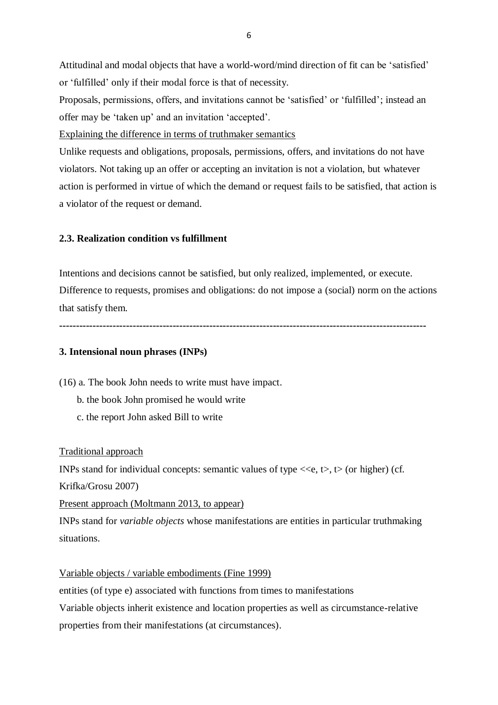Attitudinal and modal objects that have a world-word/mind direction of fit can be 'satisfied' or 'fulfilled' only if their modal force is that of necessity.

Proposals, permissions, offers, and invitations cannot be 'satisfied' or 'fulfilled'; instead an offer may be 'taken up' and an invitation 'accepted'.

Explaining the difference in terms of truthmaker semantics

Unlike requests and obligations, proposals, permissions, offers, and invitations do not have violators. Not taking up an offer or accepting an invitation is not a violation, but whatever action is performed in virtue of which the demand or request fails to be satisfied, that action is a violator of the request or demand.

# **2.3. Realization condition vs fulfillment**

Intentions and decisions cannot be satisfied, but only realized, implemented, or execute. Difference to requests, promises and obligations: do not impose a (social) norm on the actions that satisfy them.

**--------------------------------------------------------------------------------------------------------------**

## **3. Intensional noun phrases (INPs)**

(16) a. The book John needs to write must have impact.

- b. the book John promised he would write
- c. the report John asked Bill to write

Traditional approach

INPs stand for individual concepts: semantic values of type  $\langle \langle e, t \rangle, t \rangle$  (or higher) (cf. Krifka/Grosu 2007)

Present approach (Moltmann 2013, to appear)

INPs stand for *variable objects* whose manifestations are entities in particular truthmaking situations.

Variable objects / variable embodiments (Fine 1999)

entities (of type e) associated with functions from times to manifestations Variable objects inherit existence and location properties as well as circumstance-relative

properties from their manifestations (at circumstances).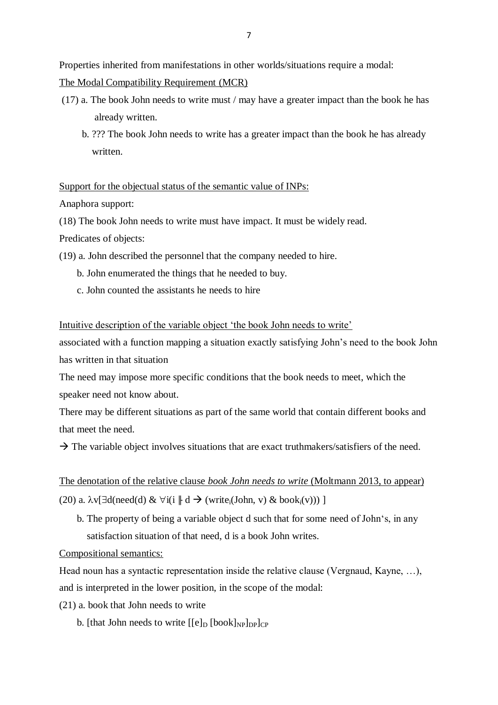Properties inherited from manifestations in other worlds/situations require a modal:

The Modal Compatibility Requirement (MCR)

- (17) a. The book John needs to write must / may have a greater impact than the book he has already written.
	- b. ??? The book John needs to write has a greater impact than the book he has already written.

Support for the objectual status of the semantic value of INPs:

Anaphora support:

(18) The book John needs to write must have impact. It must be widely read.

Predicates of objects:

- (19) a. John described the personnel that the company needed to hire.
	- b. John enumerated the things that he needed to buy.
	- c. John counted the assistants he needs to hire

Intuitive description of the variable object 'the book John needs to write'

associated with a function mapping a situation exactly satisfying John's need to the book John has written in that situation

The need may impose more specific conditions that the book needs to meet, which the speaker need not know about.

There may be different situations as part of the same world that contain different books and that meet the need.

 $\rightarrow$  The variable object involves situations that are exact truthmakers/satisfiers of the need.

The denotation of the relative clause *book John needs to write* (Moltmann 2013, to appear) (20) a.  $\lambda v[\exists d(\text{need}(d) \& \forall i(i \parallel d \rightarrow (\text{write}_i(\text{John}, v) \& \text{book}_i(v))) ]$ 

 b. The property of being a variable object d such that for some need of John's, in any satisfaction situation of that need, d is a book John writes.

Compositional semantics:

Head noun has a syntactic representation inside the relative clause (Vergnaud, Kayne, …), and is interpreted in the lower position, in the scope of the modal:

(21) a. book that John needs to write

b. [that John needs to write  $[[e]_D$  [book] $_{NP}$ ] $_{DP}$ ] $_{CP}$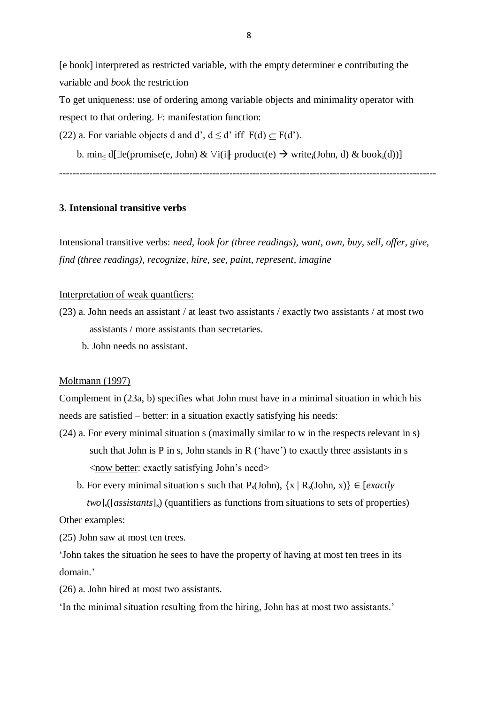[e book] interpreted as restricted variable, with the empty determiner e contributing the variable and *book* the restriction

To get uniqueness: use of ordering among variable objects and minimality operator with respect to that ordering. F: manifestation function:

(22) a. For variable objects d and d',  $d \le d'$  iff  $F(d) \subset F(d')$ .

b. min< d[ $\exists$ e(promise(e, John) &  $\forall$ i(i|| product(e)  $\rightarrow$  write<sub>i</sub>(John, d) & book<sub>i</sub>(d))]

-----------------------------------------------------------------------------------------------------------------

## **3. Intensional transitive verbs**

Intensional transitive verbs: *need, look for (three readings), want, own, buy, sell, offer, give, find (three readings), recognize, hire, see, paint, represent, imagine*

#### Interpretation of weak quantfiers:

- (23) a. John needs an assistant / at least two assistants / exactly two assistants / at most two assistants / more assistants than secretaries.
	- b. John needs no assistant.

### Moltmann (1997)

Complement in (23a, b) specifies what John must have in a minimal situation in which his needs are satisfied – better: in a situation exactly satisfying his needs:

- (24) a. For every minimal situation s (maximally similar to w in the respects relevant in s) such that John is  $P$  in s, John stands in  $R$  ('have') to exactly three assistants in  $s$  <now better: exactly satisfying John's need>
	- b. For every minimal situation s such that  $P_s(John)$ ,  $\{x \mid R_s(John, x)\}\in [exactly]$ *two*]<sub>s</sub>([*assistants*]<sub>s</sub>) (quantifiers as functions from situations to sets of properties)

Other examples:

(25) John saw at most ten trees.

'John takes the situation he sees to have the property of having at most ten trees in its domain.'

(26) a. John hired at most two assistants.

'In the minimal situation resulting from the hiring, John has at most two assistants.'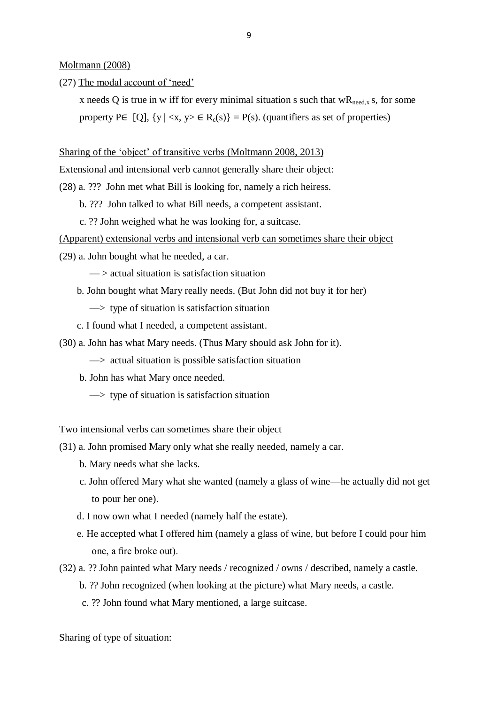Moltmann (2008)

(27) The modal account of 'need'

x needs Q is true in w iff for every minimal situation s such that  $wR_{\text{need},x}$  s, for some property P∈ [Q],  $\{y \mid \langle x, y \rangle \in R_c(s)\} = P(s)$ . (quantifiers as set of properties)

#### Sharing of the 'object' of transitive verbs (Moltmann 2008, 2013)

Extensional and intensional verb cannot generally share their object:

- (28) a. ??? John met what Bill is looking for, namely a rich heiress.
	- b. ??? John talked to what Bill needs, a competent assistant.
	- c. ?? John weighed what he was looking for, a suitcase.

### (Apparent) extensional verbs and intensional verb can sometimes share their object

- (29) a. John bought what he needed, a car.
	- $\rightarrow$  actual situation is satisfaction situation
	- b. John bought what Mary really needs. (But John did not buy it for her)
		- $\Rightarrow$  type of situation is satisfaction situation
	- c. I found what I needed, a competent assistant.
- (30) a. John has what Mary needs. (Thus Mary should ask John for it).
	- $\Rightarrow$  actual situation is possible satisfaction situation
	- b. John has what Mary once needed.
		- $\Rightarrow$  type of situation is satisfaction situation

Two intensional verbs can sometimes share their object

- (31) a. John promised Mary only what she really needed, namely a car.
	- b. Mary needs what she lacks.
	- c. John offered Mary what she wanted (namely a glass of wine—he actually did not get to pour her one).
	- d. I now own what I needed (namely half the estate).
	- e. He accepted what I offered him (namely a glass of wine, but before I could pour him one, a fire broke out).
- (32) a. ?? John painted what Mary needs / recognized / owns / described, namely a castle.
	- b. ?? John recognized (when looking at the picture) what Mary needs, a castle.
	- c. ?? John found what Mary mentioned, a large suitcase.

Sharing of type of situation: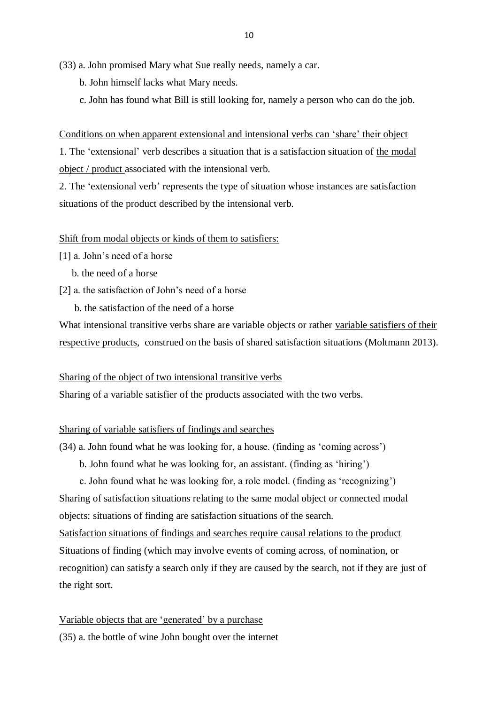(33) a. John promised Mary what Sue really needs, namely a car.

- b. John himself lacks what Mary needs.
- c. John has found what Bill is still looking for, namely a person who can do the job.

Conditions on when apparent extensional and intensional verbs can 'share' their object 1. The 'extensional' verb describes a situation that is a satisfaction situation of the modal object / product associated with the intensional verb.

2. The 'extensional verb' represents the type of situation whose instances are satisfaction situations of the product described by the intensional verb.

### Shift from modal objects or kinds of them to satisfiers:

- [1] a. John's need of a horse
	- b. the need of a horse
- [2] a. the satisfaction of John's need of a horse
	- b. the satisfaction of the need of a horse

What intensional transitive verbs share are variable objects or rather variable satisfiers of their respective products, construed on the basis of shared satisfaction situations (Moltmann 2013).

### Sharing of the object of two intensional transitive verbs

Sharing of a variable satisfier of the products associated with the two verbs.

### Sharing of variable satisfiers of findings and searches

- (34) a. John found what he was looking for, a house. (finding as 'coming across')
	- b. John found what he was looking for, an assistant. (finding as 'hiring')

 c. John found what he was looking for, a role model. (finding as 'recognizing') Sharing of satisfaction situations relating to the same modal object or connected modal objects: situations of finding are satisfaction situations of the search.

Satisfaction situations of findings and searches require causal relations to the product Situations of finding (which may involve events of coming across, of nomination, or recognition) can satisfy a search only if they are caused by the search, not if they are just of the right sort.

### Variable objects that are 'generated' by a purchase

(35) a. the bottle of wine John bought over the internet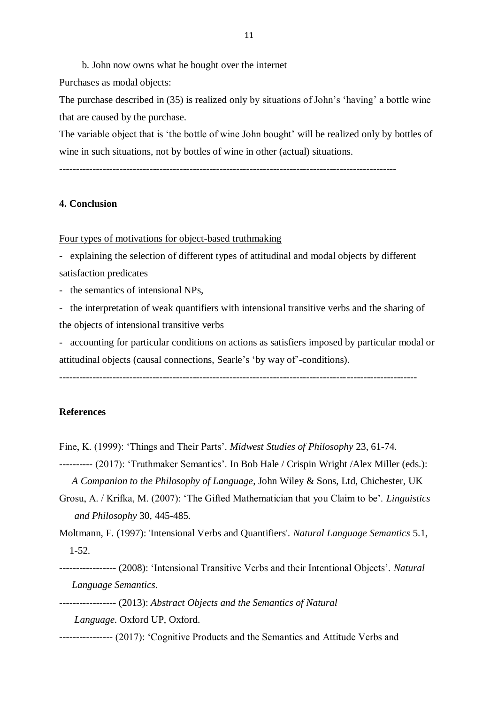b. John now owns what he bought over the internet

Purchases as modal objects:

The purchase described in (35) is realized only by situations of John's 'having' a bottle wine that are caused by the purchase.

The variable object that is 'the bottle of wine John bought' will be realized only by bottles of wine in such situations, not by bottles of wine in other (actual) situations.

-----------------------------------------------------------------------------------------------------

### **4. Conclusion**

Four types of motivations for object-based truthmaking

- explaining the selection of different types of attitudinal and modal objects by different satisfaction predicates

- the semantics of intensional NPs,

- the interpretation of weak quantifiers with intensional transitive verbs and the sharing of the objects of intensional transitive verbs

- accounting for particular conditions on actions as satisfiers imposed by particular modal or attitudinal objects (causal connections, Searle's 'by way of'-conditions).

-----------------------------------------------------------------------------------------------------------

### **References**

Fine, K. (1999): 'Things and Their Parts'. *Midwest Studies of Philosophy* 23, 61-74.

---------- (2017): 'Truthmaker Semantics'. In Bob Hale / Crispin Wright /Alex Miller (eds.): *A Companion to the Philosophy of Language*, John Wiley & Sons, Ltd, Chichester, UK

Grosu, A. / Krifka, M. (2007): 'The Gifted Mathematician that you Claim to be'. *Linguistics* 

 *and Philosophy* 30, 445-485.

Moltmann, F. (1997): 'Intensional Verbs and Quantifiers'. *Natural Language Semantics* 5.1, 1-52.

----------------- (2008): 'Intensional Transitive Verbs and their Intentional Objects'. *Natural Language Semantics*.

----------------- (2013): *Abstract Objects and the Semantics of Natural* 

 *Language*. Oxford UP, Oxford.

---------------- (2017): 'Cognitive Products and the Semantics and Attitude Verbs and